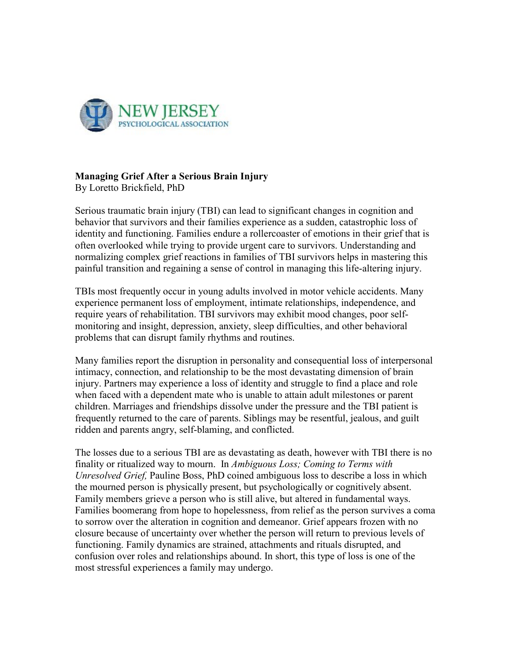

## **Managing Grief After a Serious Brain Injury**

By Loretto Brickfield, PhD

Serious traumatic brain injury (TBI) can lead to significant changes in cognition and behavior that survivors and their families experience as a sudden, catastrophic loss of identity and functioning. Families endure a rollercoaster of emotions in their grief that is often overlooked while trying to provide urgent care to survivors. Understanding and normalizing complex grief reactions in families of TBI survivors helps in mastering this painful transition and regaining a sense of control in managing this life-altering injury.

TBIs most frequently occur in young adults involved in motor vehicle accidents. Many experience permanent loss of employment, intimate relationships, independence, and require years of rehabilitation. TBI survivors may exhibit mood changes, poor selfmonitoring and insight, depression, anxiety, sleep difficulties, and other behavioral problems that can disrupt family rhythms and routines.

Many families report the disruption in personality and consequential loss of interpersonal intimacy, connection, and relationship to be the most devastating dimension of brain injury. Partners may experience a loss of identity and struggle to find a place and role when faced with a dependent mate who is unable to attain adult milestones or parent children. Marriages and friendships dissolve under the pressure and the TBI patient is frequently returned to the care of parents. Siblings may be resentful, jealous, and guilt ridden and parents angry, self-blaming, and conflicted.

The losses due to a serious TBI are as devastating as death, however with TBI there is no finality or ritualized way to mourn. In *Ambiguous Loss; Coming to Terms with Unresolved Grief,* Pauline Boss, PhD coined ambiguous loss to describe a loss in which the mourned person is physically present, but psychologically or cognitively absent. Family members grieve a person who is still alive, but altered in fundamental ways. Families boomerang from hope to hopelessness, from relief as the person survives a coma to sorrow over the alteration in cognition and demeanor. Grief appears frozen with no closure because of uncertainty over whether the person will return to previous levels of functioning. Family dynamics are strained, attachments and rituals disrupted, and confusion over roles and relationships abound. In short, this type of loss is one of the most stressful experiences a family may undergo.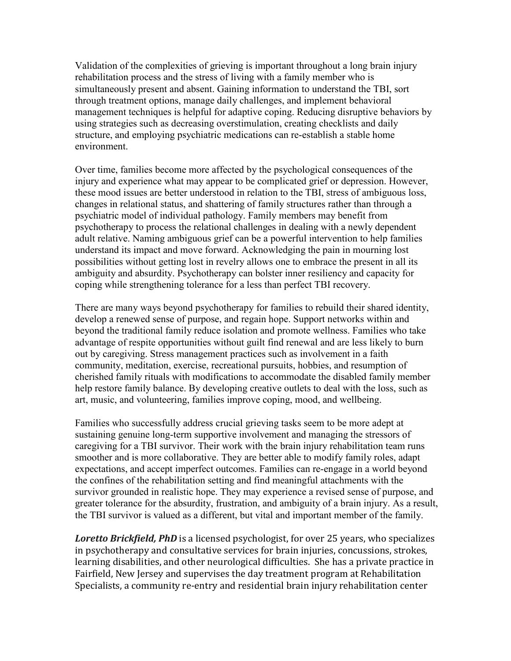Validation of the complexities of grieving is important throughout a long brain injury rehabilitation process and the stress of living with a family member who is simultaneously present and absent. Gaining information to understand the TBI, sort through treatment options, manage daily challenges, and implement behavioral management techniques is helpful for adaptive coping. Reducing disruptive behaviors by using strategies such as decreasing overstimulation, creating checklists and daily structure, and employing psychiatric medications can re-establish a stable home environment.

Over time, families become more affected by the psychological consequences of the injury and experience what may appear to be complicated grief or depression. However, these mood issues are better understood in relation to the TBI, stress of ambiguous loss, changes in relational status, and shattering of family structures rather than through a psychiatric model of individual pathology. Family members may benefit from psychotherapy to process the relational challenges in dealing with a newly dependent adult relative. Naming ambiguous grief can be a powerful intervention to help families understand its impact and move forward. Acknowledging the pain in mourning lost possibilities without getting lost in revelry allows one to embrace the present in all its ambiguity and absurdity. Psychotherapy can bolster inner resiliency and capacity for coping while strengthening tolerance for a less than perfect TBI recovery.

There are many ways beyond psychotherapy for families to rebuild their shared identity, develop a renewed sense of purpose, and regain hope. Support networks within and beyond the traditional family reduce isolation and promote wellness. Families who take advantage of respite opportunities without guilt find renewal and are less likely to burn out by caregiving. Stress management practices such as involvement in a faith community, meditation, exercise, recreational pursuits, hobbies, and resumption of cherished family rituals with modifications to accommodate the disabled family member help restore family balance. By developing creative outlets to deal with the loss, such as art, music, and volunteering, families improve coping, mood, and wellbeing.

Families who successfully address crucial grieving tasks seem to be more adept at sustaining genuine long-term supportive involvement and managing the stressors of caregiving for a TBI survivor. Their work with the brain injury rehabilitation team runs smoother and is more collaborative. They are better able to modify family roles, adapt expectations, and accept imperfect outcomes. Families can re-engage in a world beyond the confines of the rehabilitation setting and find meaningful attachments with the survivor grounded in realistic hope. They may experience a revised sense of purpose, and greater tolerance for the absurdity, frustration, and ambiguity of a brain injury. As a result, the TBI survivor is valued as a different, but vital and important member of the family.

*Loretto Brickfield, PhD* is a licensed psychologist, for over 25 years, who specializes in psychotherapy and consultative services for brain injuries, concussions, strokes, learning disabilities, and other neurological difficulties. She has a private practice in Fairfield, New Jersey and supervises the day treatment program at Rehabilitation Specialists, a community re-entry and residential brain injury rehabilitation center